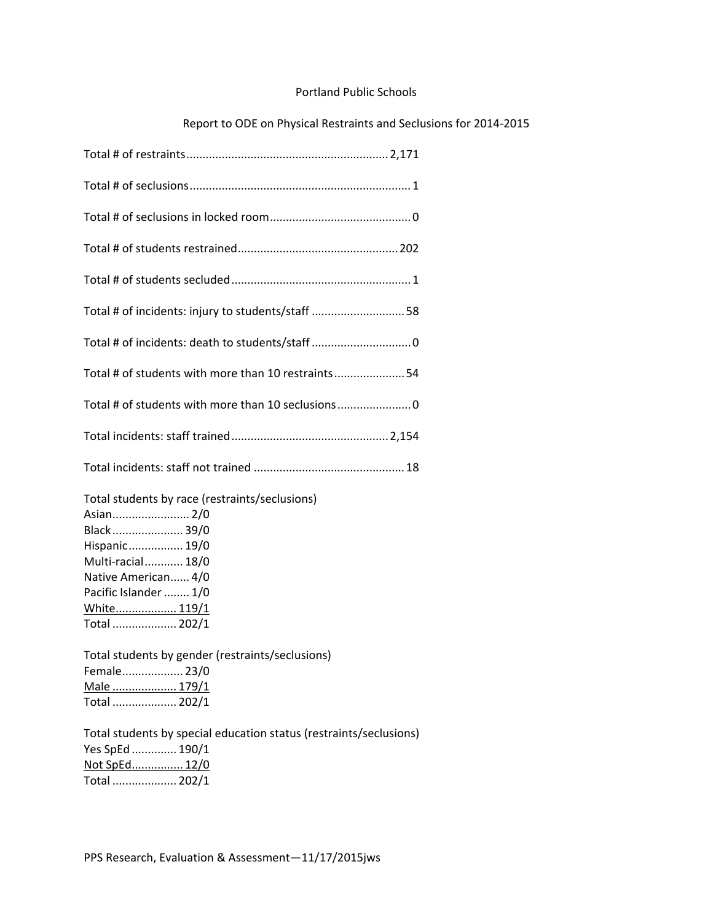## Portland Public Schools

## Report to ODE on Physical Restraints and Seclusions for 2014‐2015

| Total # of incidents: injury to students/staff 58                                                                                                                                              |
|------------------------------------------------------------------------------------------------------------------------------------------------------------------------------------------------|
|                                                                                                                                                                                                |
| Total # of students with more than 10 restraints54                                                                                                                                             |
| Total # of students with more than 10 seclusions                                                                                                                                               |
|                                                                                                                                                                                                |
|                                                                                                                                                                                                |
| Total students by race (restraints/seclusions)<br>Asian 2/0<br>Black 39/0<br>Hispanic 19/0<br>Multi-racial 18/0<br>Native American 4/0<br>Pacific Islander  1/0<br>White 119/1<br>Total  202/1 |
| Total students by gender (restraints/seclusions)<br>Female 23/0                                                                                                                                |
| <u>Male  179/1</u>                                                                                                                                                                             |
| Total  202/1                                                                                                                                                                                   |
| Total students by special education status (restraints/seclusions)<br>Yes SpEd  190/1                                                                                                          |

Total .................... 202/1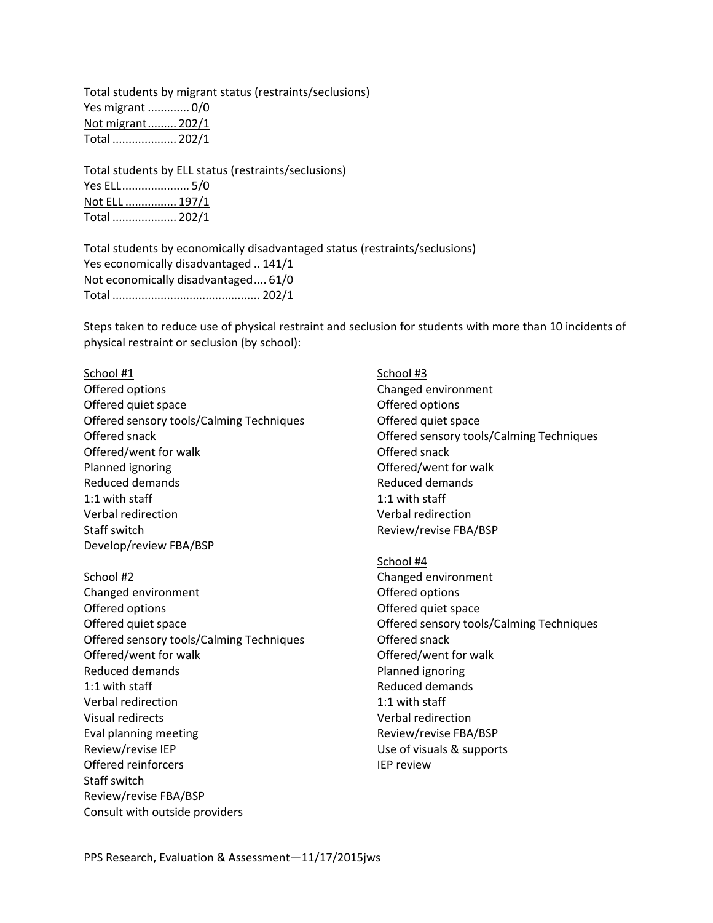Total students by migrant status (restraints/seclusions) Yes migrant ............. 0/0 Not migrant......... 202/1 Total .................... 202/1

Total students by ELL status (restraints/seclusions) Yes ELL..................... 5/0 Not ELL ................ 197/1 Total .................... 202/1

Total students by economically disadvantaged status (restraints/seclusions) Yes economically disadvantaged .. 141/1 Not economically disadvantaged.... 61/0 Total .............................................. 202/1

Steps taken to reduce use of physical restraint and seclusion for students with more than 10 incidents of physical restraint or seclusion (by school):

## School #1 Offered options Offered quiet space Offered sensory tools/Calming Techniques Offered snack Offered/went for walk Planned ignoring Reduced demands 1:1 with staff Verbal redirection Staff switch Develop/review FBA/BSP

- School #2 Changed environment Offered options Offered quiet space Offered sensory tools/Calming Techniques Offered/went for walk Reduced demands 1:1 with staff Verbal redirection Visual redirects Eval planning meeting Review/revise IEP Offered reinforcers Staff switch Review/revise FBA/BSP Consult with outside providers
- School #3 Changed environment Offered options Offered quiet space Offered sensory tools/Calming Techniques Offered snack Offered/went for walk Reduced demands 1:1 with staff Verbal redirection Review/revise FBA/BSP
- School #4 Changed environment Offered options Offered quiet space Offered sensory tools/Calming Techniques Offered snack Offered/went for walk Planned ignoring Reduced demands 1:1 with staff Verbal redirection Review/revise FBA/BSP Use of visuals & supports IEP review